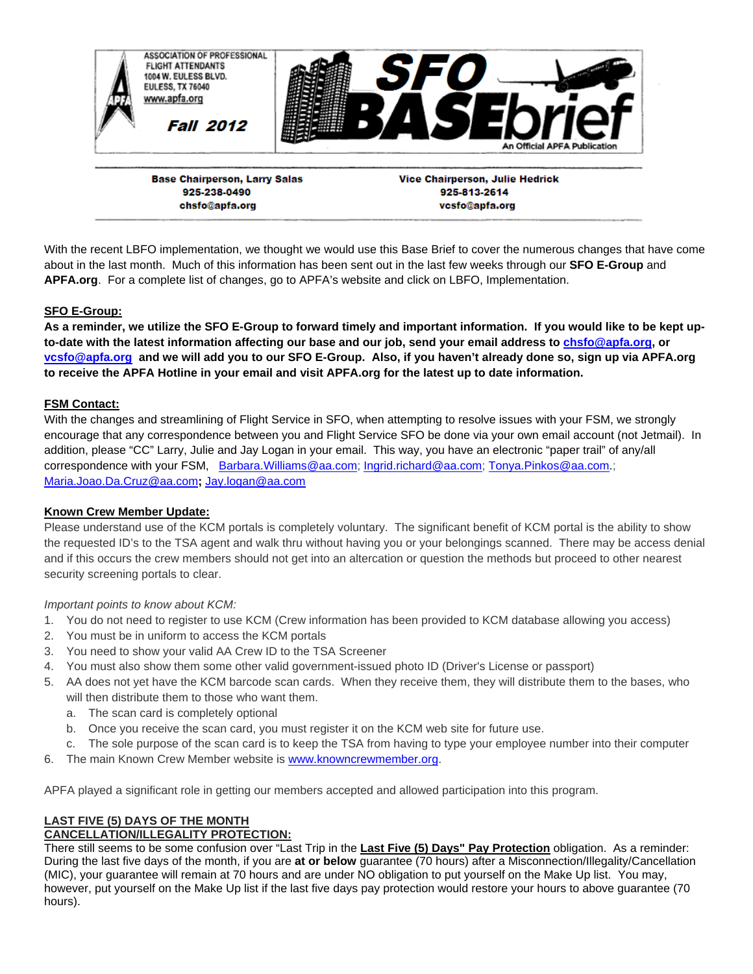

**Base Chairperson, Larry Salas** 925-238-0490 chsfo@apfa.org

**Vice Chairperson, Julie Hedrick** 925-813-2614 vcsfo@apfa.org

With the recent LBFO implementation, we thought we would use this Base Brief to cover the numerous changes that have come about in the last month. Much of this information has been sent out in the last few weeks through our **SFO E-Group** and **APFA.org**. For a complete list of changes, go to APFA's website and click on LBFO, Implementation.

## **SFO E-Group:**

**As a reminder, we utilize the SFO E-Group to forward timely and important information. If you would like to be kept upto-date with the latest information affecting our base and our job, send your email address to chsfo@apfa.org, or vcsfo@apfa.org and we will add you to our SFO E-Group. Also, if you haven't already done so, sign up via APFA.org to receive the APFA Hotline in your email and visit APFA.org for the latest up to date information.**

## **FSM Contact:**

With the changes and streamlining of Flight Service in SFO, when attempting to resolve issues with your FSM, we strongly encourage that any correspondence between you and Flight Service SFO be done via your own email account (not Jetmail). In addition, please "CC" Larry, Julie and Jay Logan in your email. This way, you have an electronic "paper trail" of any/all correspondence with your FSM, Barbara.Williams@aa.com; Ingrid.richard@aa.com; Tonya.Pinkos@aa.com.; Maria.Joao.Da.Cruz@aa.com**;** Jay.logan@aa.com

## **Known Crew Member Update:**

Please understand use of the KCM portals is completely voluntary. The significant benefit of KCM portal is the ability to show the requested ID's to the TSA agent and walk thru without having you or your belongings scanned. There may be access denial and if this occurs the crew members should not get into an altercation or question the methods but proceed to other nearest security screening portals to clear.

## *Important points to know about KCM:*

- 1. You do not need to register to use KCM (Crew information has been provided to KCM database allowing you access)
- 2. You must be in uniform to access the KCM portals
- 3. You need to show your valid AA Crew ID to the TSA Screener
- 4. You must also show them some other valid government-issued photo ID (Driver's License or passport)
- 5. AA does not yet have the KCM barcode scan cards. When they receive them, they will distribute them to the bases, who will then distribute them to those who want them.
	- a. The scan card is completely optional
	- b. Once you receive the scan card, you must register it on the KCM web site for future use.
	- c. The sole purpose of the scan card is to keep the TSA from having to type your employee number into their computer
- 6. The main Known Crew Member website is www.knowncrewmember.org.

APFA played a significant role in getting our members accepted and allowed participation into this program.

# **LAST FIVE (5) DAYS OF THE MONTH**

## **CANCELLATION/ILLEGALITY PROTECTION:**

There still seems to be some confusion over "Last Trip in the **Last Five (5) Days" Pay Protection** obligation. As a reminder: During the last five days of the month, if you are **at or below** guarantee (70 hours) after a Misconnection/Illegality/Cancellation (MIC), your guarantee will remain at 70 hours and are under NO obligation to put yourself on the Make Up list. You may, however, put yourself on the Make Up list if the last five days pay protection would restore your hours to above guarantee (70 hours).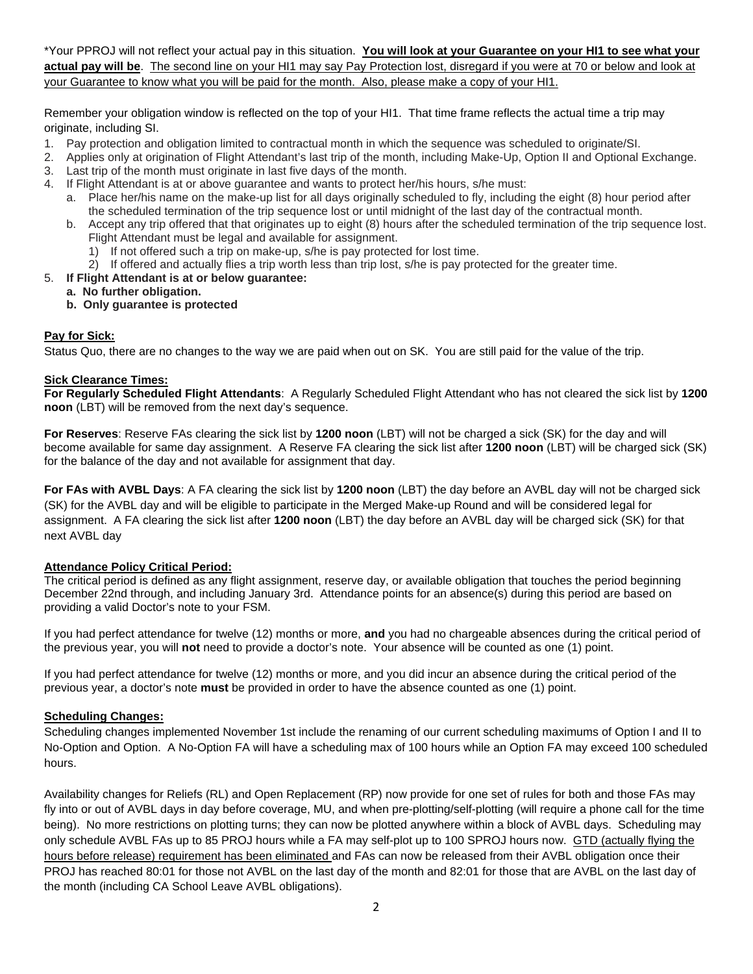\*Your PPROJ will not reflect your actual pay in this situation. **You will look at your Guarantee on your HI1 to see what your actual pay will be**. The second line on your HI1 may say Pay Protection lost, disregard if you were at 70 or below and look at your Guarantee to know what you will be paid for the month. Also, please make a copy of your HI1.

Remember your obligation window is reflected on the top of your HI1. That time frame reflects the actual time a trip may originate, including SI.

- 1. Pay protection and obligation limited to contractual month in which the sequence was scheduled to originate/SI.
- 2. Applies only at origination of Flight Attendant's last trip of the month, including Make-Up, Option II and Optional Exchange.
- 3. Last trip of the month must originate in last five days of the month.
- 4. If Flight Attendant is at or above guarantee and wants to protect her/his hours, s/he must:
	- a. Place her/his name on the make-up list for all days originally scheduled to fly, including the eight (8) hour period after the scheduled termination of the trip sequence lost or until midnight of the last day of the contractual month.
	- b. Accept any trip offered that that originates up to eight (8) hours after the scheduled termination of the trip sequence lost. Flight Attendant must be legal and available for assignment.
		- 1) If not offered such a trip on make-up, s/he is pay protected for lost time.
		- 2) If offered and actually flies a trip worth less than trip lost, s/he is pay protected for the greater time.
- 5. **If Flight Attendant is at or below guarantee:** 
	- **a. No further obligation.**
	- **b. Only guarantee is protected**

## **Pay for Sick:**

Status Quo, there are no changes to the way we are paid when out on SK. You are still paid for the value of the trip.

## **Sick Clearance Times:**

**For Regularly Scheduled Flight Attendants**: A Regularly Scheduled Flight Attendant who has not cleared the sick list by **1200 noon** (LBT) will be removed from the next day's sequence.

**For Reserves**: Reserve FAs clearing the sick list by **1200 noon** (LBT) will not be charged a sick (SK) for the day and will become available for same day assignment. A Reserve FA clearing the sick list after **1200 noon** (LBT) will be charged sick (SK) for the balance of the day and not available for assignment that day.

**For FAs with AVBL Days**: A FA clearing the sick list by **1200 noon** (LBT) the day before an AVBL day will not be charged sick (SK) for the AVBL day and will be eligible to participate in the Merged Make-up Round and will be considered legal for assignment. A FA clearing the sick list after **1200 noon** (LBT) the day before an AVBL day will be charged sick (SK) for that next AVBL day

## **Attendance Policy Critical Period:**

The critical period is defined as any flight assignment, reserve day, or available obligation that touches the period beginning December 22nd through, and including January 3rd. Attendance points for an absence(s) during this period are based on providing a valid Doctor's note to your FSM.

If you had perfect attendance for twelve (12) months or more, **and** you had no chargeable absences during the critical period of the previous year, you will **not** need to provide a doctor's note. Your absence will be counted as one (1) point.

If you had perfect attendance for twelve (12) months or more, and you did incur an absence during the critical period of the previous year, a doctor's note **must** be provided in order to have the absence counted as one (1) point.

## **Scheduling Changes:**

Scheduling changes implemented November 1st include the renaming of our current scheduling maximums of Option I and II to No-Option and Option. A No-Option FA will have a scheduling max of 100 hours while an Option FA may exceed 100 scheduled hours.

Availability changes for Reliefs (RL) and Open Replacement (RP) now provide for one set of rules for both and those FAs may fly into or out of AVBL days in day before coverage, MU, and when pre-plotting/self-plotting (will require a phone call for the time being). No more restrictions on plotting turns; they can now be plotted anywhere within a block of AVBL days. Scheduling may only schedule AVBL FAs up to 85 PROJ hours while a FA may self-plot up to 100 SPROJ hours now. GTD (actually flying the hours before release) requirement has been eliminated and FAs can now be released from their AVBL obligation once their PROJ has reached 80:01 for those not AVBL on the last day of the month and 82:01 for those that are AVBL on the last day of the month (including CA School Leave AVBL obligations).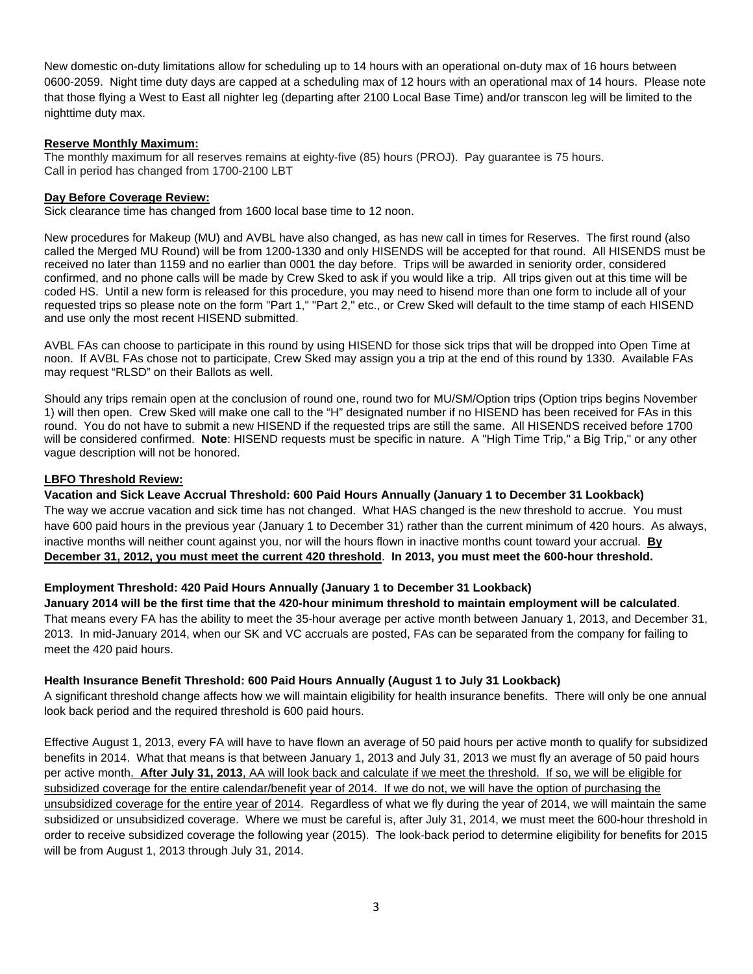New domestic on-duty limitations allow for scheduling up to 14 hours with an operational on-duty max of 16 hours between 0600-2059. Night time duty days are capped at a scheduling max of 12 hours with an operational max of 14 hours. Please note that those flying a West to East all nighter leg (departing after 2100 Local Base Time) and/or transcon leg will be limited to the nighttime duty max.

#### **Reserve Monthly Maximum:**

The monthly maximum for all reserves remains at eighty-five (85) hours (PROJ). Pay guarantee is 75 hours. Call in period has changed from 1700-2100 LBT

#### **Day Before Coverage Review:**

Sick clearance time has changed from 1600 local base time to 12 noon.

New procedures for Makeup (MU) and AVBL have also changed, as has new call in times for Reserves. The first round (also called the Merged MU Round) will be from 1200-1330 and only HISENDS will be accepted for that round. All HISENDS must be received no later than 1159 and no earlier than 0001 the day before. Trips will be awarded in seniority order, considered confirmed, and no phone calls will be made by Crew Sked to ask if you would like a trip. All trips given out at this time will be coded HS. Until a new form is released for this procedure, you may need to hisend more than one form to include all of your requested trips so please note on the form "Part 1," "Part 2," etc., or Crew Sked will default to the time stamp of each HISEND and use only the most recent HISEND submitted.

AVBL FAs can choose to participate in this round by using HISEND for those sick trips that will be dropped into Open Time at noon. If AVBL FAs chose not to participate, Crew Sked may assign you a trip at the end of this round by 1330. Available FAs may request "RLSD" on their Ballots as well.

Should any trips remain open at the conclusion of round one, round two for MU/SM/Option trips (Option trips begins November 1) will then open. Crew Sked will make one call to the "H" designated number if no HISEND has been received for FAs in this round. You do not have to submit a new HISEND if the requested trips are still the same. All HISENDS received before 1700 will be considered confirmed. **Note**: HISEND requests must be specific in nature. A "High Time Trip," a Big Trip," or any other vague description will not be honored.

#### **LBFO Threshold Review:**

## **Vacation and Sick Leave Accrual Threshold: 600 Paid Hours Annually (January 1 to December 31 Lookback)**

The way we accrue vacation and sick time has not changed. What HAS changed is the new threshold to accrue. You must have 600 paid hours in the previous year (January 1 to December 31) rather than the current minimum of 420 hours. As always, inactive months will neither count against you, nor will the hours flown in inactive months count toward your accrual. **By December 31, 2012, you must meet the current 420 threshold**. **In 2013, you must meet the 600-hour threshold.** 

## **Employment Threshold: 420 Paid Hours Annually (January 1 to December 31 Lookback)**

**January 2014 will be the first time that the 420-hour minimum threshold to maintain employment will be calculated**. That means every FA has the ability to meet the 35-hour average per active month between January 1, 2013, and December 31, 2013. In mid-January 2014, when our SK and VC accruals are posted, FAs can be separated from the company for failing to meet the 420 paid hours.

## **Health Insurance Benefit Threshold: 600 Paid Hours Annually (August 1 to July 31 Lookback)**

A significant threshold change affects how we will maintain eligibility for health insurance benefits. There will only be one annual look back period and the required threshold is 600 paid hours.

Effective August 1, 2013, every FA will have to have flown an average of 50 paid hours per active month to qualify for subsidized benefits in 2014. What that means is that between January 1, 2013 and July 31, 2013 we must fly an average of 50 paid hours per active month. **After July 31, 2013**, AA will look back and calculate if we meet the threshold. If so, we will be eligible for subsidized coverage for the entire calendar/benefit year of 2014. If we do not, we will have the option of purchasing the unsubsidized coverage for the entire year of 2014. Regardless of what we fly during the year of 2014, we will maintain the same subsidized or unsubsidized coverage. Where we must be careful is, after July 31, 2014, we must meet the 600-hour threshold in order to receive subsidized coverage the following year (2015). The look-back period to determine eligibility for benefits for 2015 will be from August 1, 2013 through July 31, 2014.